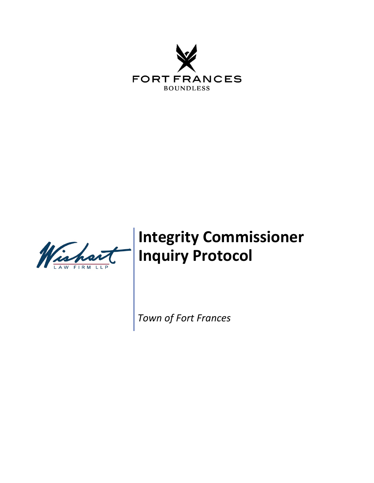



# **Integrity Commissioner Inquiry Protocol**

*Town of Fort Frances*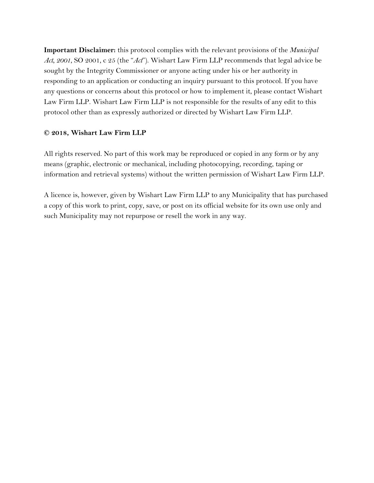**Important Disclaimer:** this protocol complies with the relevant provisions of the *Municipal Act, 2001*, SO 2001, c 25 (the "*Act*"). Wishart Law Firm LLP recommends that legal advice be sought by the Integrity Commissioner or anyone acting under his or her authority in responding to an application or conducting an inquiry pursuant to this protocol. If you have any questions or concerns about this protocol or how to implement it, please contact Wishart Law Firm LLP. Wishart Law Firm LLP is not responsible for the results of any edit to this protocol other than as expressly authorized or directed by Wishart Law Firm LLP.

#### **© 2018, Wishart Law Firm LLP**

All rights reserved. No part of this work may be reproduced or copied in any form or by any means (graphic, electronic or mechanical, including photocopying, recording, taping or information and retrieval systems) without the written permission of Wishart Law Firm LLP.

A licence is, however, given by Wishart Law Firm LLP to any Municipality that has purchased a copy of this work to print, copy, save, or post on its official website for its own use only and such Municipality may not repurpose or resell the work in any way.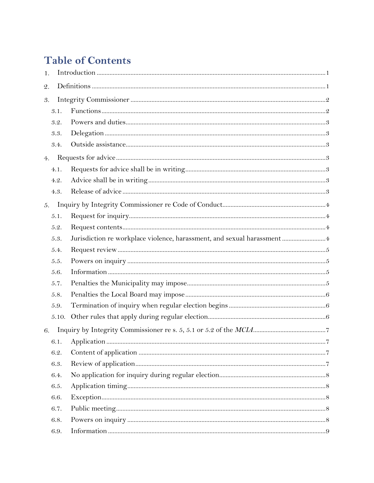## **Table of Contents**

| 1.              |       |                                                                        |  |
|-----------------|-------|------------------------------------------------------------------------|--|
| $\mathfrak{2}.$ |       |                                                                        |  |
| 3.              |       |                                                                        |  |
|                 | 3.1.  |                                                                        |  |
|                 | 3.2.  |                                                                        |  |
|                 | 3.3.  |                                                                        |  |
|                 | 3.4.  |                                                                        |  |
| 4.              |       |                                                                        |  |
|                 | 4.1.  |                                                                        |  |
|                 | 4.2.  |                                                                        |  |
|                 | 4.3.  |                                                                        |  |
| 5.              |       |                                                                        |  |
|                 | 5.1.  |                                                                        |  |
|                 | 5.2.  |                                                                        |  |
|                 | 5.3.  | Jurisdiction re workplace violence, harassment, and sexual harassment4 |  |
|                 | 5.4.  |                                                                        |  |
|                 | 5.5.  |                                                                        |  |
|                 | 5.6.  |                                                                        |  |
|                 | 5.7.  |                                                                        |  |
|                 | 5.8.  |                                                                        |  |
|                 | 5.9.  |                                                                        |  |
|                 | 5.10. |                                                                        |  |
| 6.              |       |                                                                        |  |
|                 |       |                                                                        |  |
|                 | 6.2.  |                                                                        |  |
|                 | 6.3.  |                                                                        |  |
|                 | 6.4.  |                                                                        |  |
|                 | 6.5.  |                                                                        |  |
|                 | 6.6.  |                                                                        |  |
|                 | 6.7.  |                                                                        |  |
|                 | 6.8.  |                                                                        |  |
|                 | 6.9.  |                                                                        |  |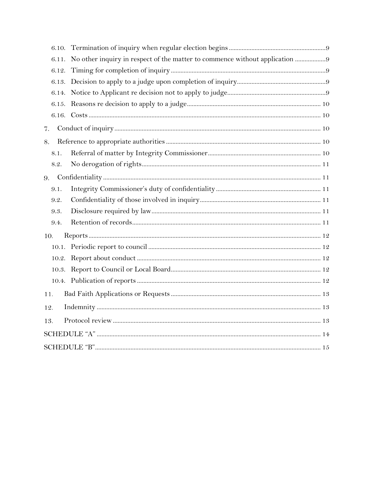| 6.10. |                                                                             |
|-------|-----------------------------------------------------------------------------|
| 6.11. | No other inquiry in respect of the matter to commence without application 9 |
| 6.12. |                                                                             |
| 6.13. |                                                                             |
| 6.14. |                                                                             |
|       |                                                                             |
|       |                                                                             |
| 7.    |                                                                             |
| 8.    |                                                                             |
| 8.1.  |                                                                             |
| 8.2.  |                                                                             |
| 9.    |                                                                             |
| 9.1.  |                                                                             |
| 9.2.  |                                                                             |
| 9.3.  |                                                                             |
| 9.4.  |                                                                             |
| 10.   |                                                                             |
|       |                                                                             |
|       |                                                                             |
|       |                                                                             |
|       |                                                                             |
| 11.   |                                                                             |
| 12.   |                                                                             |
| 13.   |                                                                             |
|       |                                                                             |
|       |                                                                             |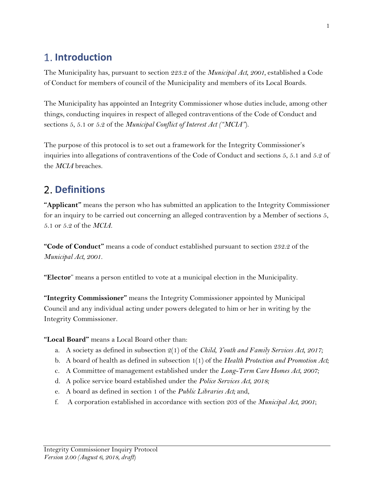## <span id="page-4-0"></span>**Introduction**

The Municipality has, pursuant to section 223.2 of the *Municipal Act, 2001,* established a Code of Conduct for members of council of the Municipality and members of its Local Boards.

The Municipality has appointed an Integrity Commissioner whose duties include, among other things, conducting inquires in respect of alleged contraventions of the Code of Conduct and sections 5, 5.1 or 5.2 of the *Municipal Conflict of Interest Act ("MCIA"*).

The purpose of this protocol is to set out a framework for the Integrity Commissioner's inquiries into allegations of contraventions of the Code of Conduct and sections 5, 5.1 and 5.2 of the *MCIA* breaches.

## <span id="page-4-1"></span>**Definitions**

**"Applicant"** means the person who has submitted an application to the Integrity Commissioner for an inquiry to be carried out concerning an alleged contravention by a Member of sections 5, 5.1 or 5.2 of the *MCIA.*

**"Code of Conduct"** means a code of conduct established pursuant to section 232.2 of the *Municipal Act, 2001.* 

**"Elector**" means a person entitled to vote at a municipal election in the Municipality.

**"Integrity Commissioner"** means the Integrity Commissioner appointed by Municipal Council and any individual acting under powers delegated to him or her in writing by the Integrity Commissioner.

**"Local Board"** means a Local Board other than:

- a. A society as defined in subsection 2(1) of the *Child, Youth and Family Services Act, 2017;*
- b. A board of health as defined in subsection 1(1) of the *Health Protection and Promotion Act;*
- c. A Committee of management established under the *Long-Term Care Homes Act, 2007;*
- d. A police service board established under the *Police Services Act, 2018;*
- e. A board as defined in section 1 of the *Public Libraries Act;* and,
- f. A corporation established in accordance with section 203 of the *Municipal Act, 2001*;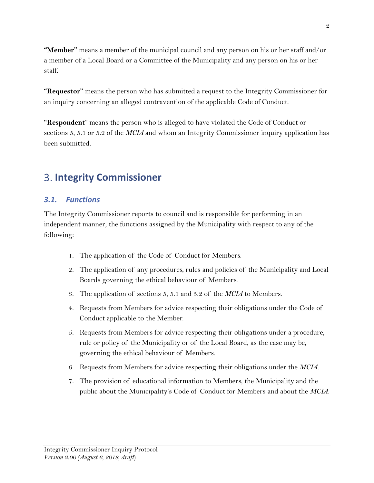**"Member"** means a member of the municipal council and any person on his or her staff and/or a member of a Local Board or a Committee of the Municipality and any person on his or her staff.

**"Requestor"** means the person who has submitted a request to the Integrity Commissioner for an inquiry concerning an alleged contravention of the applicable Code of Conduct.

**"Respondent**" means the person who is alleged to have violated the Code of Conduct or sections 5, 5.1 or 5.2 of the *MCIA* and whom an Integrity Commissioner inquiry application has been submitted.

## <span id="page-5-0"></span>**Integrity Commissioner**

#### <span id="page-5-1"></span>*3.1. Functions*

The Integrity Commissioner reports to council and is responsible for performing in an independent manner, the functions assigned by the Municipality with respect to any of the following:

- 1. The application of the Code of Conduct for Members.
- 2. The application of any procedures, rules and policies of the Municipality and Local Boards governing the ethical behaviour of Members.
- 3. The application of sections 5, 5.1 and 5.2 of the *MCIA* to Members.
- 4. Requests from Members for advice respecting their obligations under the Code of Conduct applicable to the Member.
- 5. Requests from Members for advice respecting their obligations under a procedure, rule or policy of the Municipality or of the Local Board, as the case may be, governing the ethical behaviour of Members.
- 6. Requests from Members for advice respecting their obligations under the *MCIA*.
- 7. The provision of educational information to Members, the Municipality and the public about the Municipality's Code of Conduct for Members and about the *MCIA*.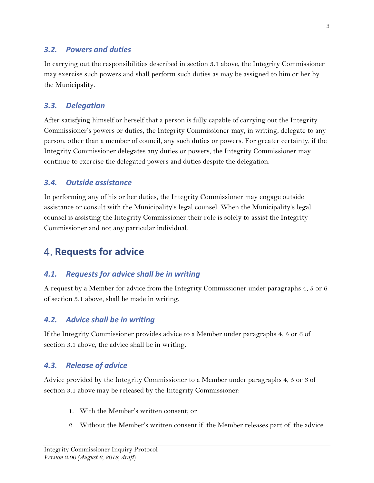#### <span id="page-6-0"></span>*3.2. Powers and duties*

In carrying out the responsibilities described in section 3.1 above, the Integrity Commissioner may exercise such powers and shall perform such duties as may be assigned to him or her by the Municipality.

#### <span id="page-6-1"></span>*3.3. Delegation*

After satisfying himself or herself that a person is fully capable of carrying out the Integrity Commissioner's powers or duties, the Integrity Commissioner may, in writing, delegate to any person, other than a member of council, any such duties or powers. For greater certainty, if the Integrity Commissioner delegates any duties or powers, the Integrity Commissioner may continue to exercise the delegated powers and duties despite the delegation.

#### <span id="page-6-2"></span>*3.4. Outside assistance*

In performing any of his or her duties, the Integrity Commissioner may engage outside assistance or consult with the Municipality's legal counsel. When the Municipality's legal counsel is assisting the Integrity Commissioner their role is solely to assist the Integrity Commissioner and not any particular individual.

### <span id="page-6-3"></span>**4. Requests for advice**

#### <span id="page-6-4"></span>*4.1. Requests for advice shall be in writing*

A request by a Member for advice from the Integrity Commissioner under paragraphs 4, 5 or 6 of section 3.1 above, shall be made in writing.

#### <span id="page-6-5"></span>*4.2. Advice shall be in writing*

If the Integrity Commissioner provides advice to a Member under paragraphs 4, 5 or 6 of section 3.1 above, the advice shall be in writing.

#### <span id="page-6-6"></span>*4.3. Release of advice*

Advice provided by the Integrity Commissioner to a Member under paragraphs 4, 5 or 6 of section 3.1 above may be released by the Integrity Commissioner:

- 1. With the Member's written consent; or
- 2. Without the Member's written consent if the Member releases part of the advice.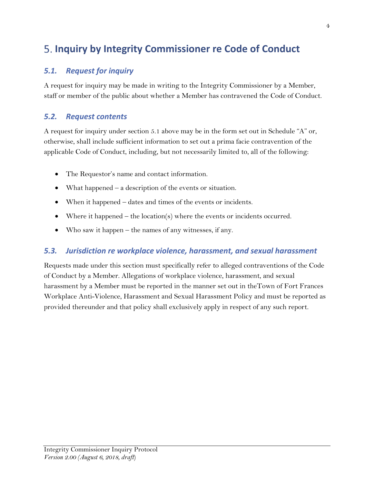## <span id="page-7-0"></span>**Inquiry by Integrity Commissioner re Code of Conduct**

#### <span id="page-7-1"></span>*5.1. Request for inquiry*

A request for inquiry may be made in writing to the Integrity Commissioner by a Member, staff or member of the public about whether a Member has contravened the Code of Conduct.

#### <span id="page-7-2"></span>*5.2. Request contents*

A request for inquiry under section 5.1 above may be in the form set out in Schedule "A" or, otherwise, shall include sufficient information to set out a prima facie contravention of the applicable Code of Conduct, including, but not necessarily limited to, all of the following:

- The Requestor's name and contact information.
- What happened a description of the events or situation.
- When it happened dates and times of the events or incidents.
- Where it happened the location(s) where the events or incidents occurred.
- Who saw it happen the names of any witnesses, if any.

#### <span id="page-7-3"></span>*5.3. Jurisdiction re workplace violence, harassment, and sexual harassment*

Requests made under this section must specifically refer to alleged contraventions of the Code of Conduct by a Member. Allegations of workplace violence, harassment, and sexual harassment by a Member must be reported in the manner set out in theTown of Fort Frances Workplace Anti-Violence, Harassment and Sexual Harassment Policy and must be reported as provided thereunder and that policy shall exclusively apply in respect of any such report.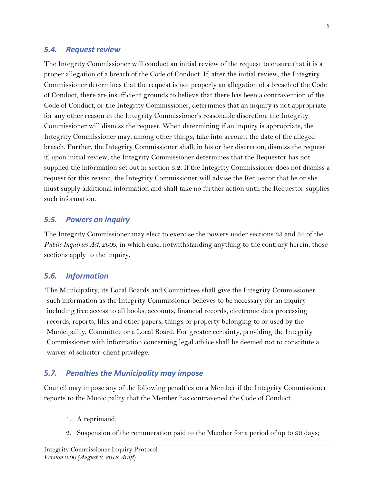#### <span id="page-8-1"></span><span id="page-8-0"></span>*5.4. Request review*

The Integrity Commissioner will conduct an initial review of the request to ensure that it is a proper allegation of a breach of the Code of Conduct. If, after the initial review, the Integrity Commissioner determines that the request is not properly an allegation of a breach of the Code of Conduct, there are insufficient grounds to believe that there has been a contravention of the Code of Conduct, or the Integrity Commissioner, determines that an inquiry is not appropriate for any other reason in the Integrity Commissioner's reasonable discretion, the Integrity Commissioner will dismiss the request. When determining if an inquiry is appropriate, the Integrity Commissioner may, among other things, take into account the date of the alleged breach. Further, the Integrity Commissioner shall, in his or her discretion, dismiss the request if, upon initial review, the Integrity Commissioner determines that the Requestor has not supplied the information set out in section 5.2. If the Integrity Commissioner does not dismiss a request for this reason, the Integrity Commissioner will advise the Requestor that he or she must supply additional information and shall take no further action until the Requestor supplies such information.

#### *5.5. Powers on inquiry*

The Integrity Commissioner may elect to exercise the powers under sections 33 and 34 of the *Public Inquiries Act, 2009*, in which case, notwithstanding anything to the contrary herein, those sections apply to the inquiry.

#### <span id="page-8-2"></span>*5.6. Information*

The Municipality, its Local Boards and Committees shall give the Integrity Commissioner such information as the Integrity Commissioner believes to be necessary for an inquiry including free access to all books, accounts, financial records, electronic data processing records, reports, files and other papers, things or property belonging to or used by the Municipality, Committee or a Local Board. For greater certainty, providing the Integrity Commissioner with information concerning legal advice shall be deemed not to constitute a waiver of solicitor-client privilege.

#### <span id="page-8-3"></span>*5.7. Penalties the Municipality may impose*

Council may impose any of the following penalties on a Member if the Integrity Commissioner reports to the Municipality that the Member has contravened the Code of Conduct:

- 1. A reprimand;
- 2. Suspension of the remuneration paid to the Member for a period of up to 90 days;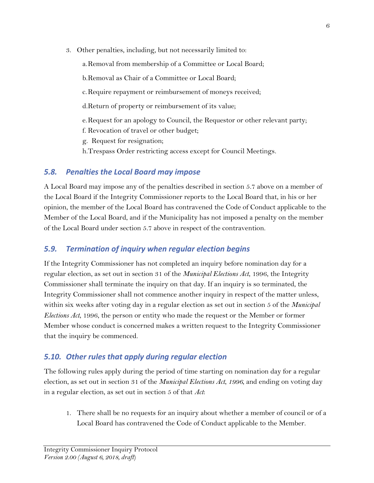3. Other penalties, including, but not necessarily limited to:

a.Removal from membership of a Committee or Local Board;

b.Removal as Chair of a Committee or Local Board;

c.Require repayment or reimbursement of moneys received;

d.Return of property or reimbursement of its value;

e.Request for an apology to Council, the Requestor or other relevant party;

f. Revocation of travel or other budget;

g. Request for resignation;

h.Trespass Order restricting access except for Council Meetings.

#### <span id="page-9-0"></span>*5.8. Penalties the Local Board may impose*

A Local Board may impose any of the penalties described in section 5.7 above on a member of the Local Board if the Integrity Commissioner reports to the Local Board that, in his or her opinion, the member of the Local Board has contravened the Code of Conduct applicable to the Member of the Local Board, and if the Municipality has not imposed a penalty on the member of the Local Board under section 5.7 above in respect of the contravention.

### <span id="page-9-1"></span>*5.9. Termination of inquiry when regular election begins*

If the Integrity Commissioner has not completed an inquiry before nomination day for a regular election, as set out in section 31 of the *Municipal Elections Act*, 1996, the Integrity Commissioner shall terminate the inquiry on that day. If an inquiry is so terminated, the Integrity Commissioner shall not commence another inquiry in respect of the matter unless, within six weeks after voting day in a regular election as set out in section 5 of the *Municipal Elections Act*, 1996, the person or entity who made the request or the Member or former Member whose conduct is concerned makes a written request to the Integrity Commissioner that the inquiry be commenced.

### <span id="page-9-2"></span>*5.10. Other rules that apply during regular election*

The following rules apply during the period of time starting on nomination day for a regular election, as set out in section 31 of the *Municipal Elections Act*, *1996*, and ending on voting day in a regular election, as set out in section 5 of that *Act*:

1. There shall be no requests for an inquiry about whether a member of council or of a Local Board has contravened the Code of Conduct applicable to the Member.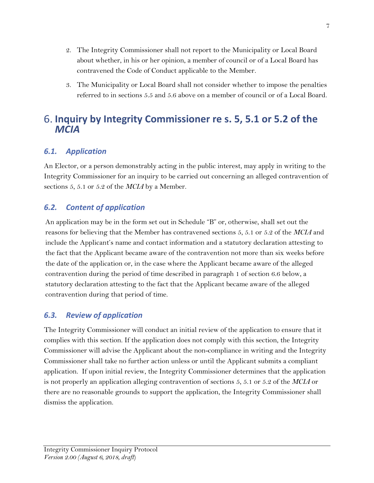- 2. The Integrity Commissioner shall not report to the Municipality or Local Board about whether, in his or her opinion, a member of council or of a Local Board has contravened the Code of Conduct applicable to the Member.
- 3. The Municipality or Local Board shall not consider whether to impose the penalties referred to in sections 5.5 and 5.6 above on a member of council or of a Local Board.

### <span id="page-10-0"></span>**Inquiry by Integrity Commissioner re s. 5, 5.1 or 5.2 of the**  *MCIA*

### <span id="page-10-1"></span>*6.1. Application*

An Elector, or a person demonstrably acting in the public interest, may apply in writing to the Integrity Commissioner for an inquiry to be carried out concerning an alleged contravention of sections 5, 5.1 or 5.2 of the *MCIA* by a Member.

#### <span id="page-10-2"></span>*6.2. Content of application*

An application may be in the form set out in Schedule "B" or, otherwise, shall set out the reasons for believing that the Member has contravened sections 5, 5.1 or 5.2 of the *MCIA* and include the Applicant's name and contact information and a statutory declaration attesting to the fact that the Applicant became aware of the contravention not more than six weeks before the date of the application or, in the case where the Applicant became aware of the alleged contravention during the period of time described in paragraph 1 of section 6.6 below, a statutory declaration attesting to the fact that the Applicant became aware of the alleged contravention during that period of time.

#### <span id="page-10-3"></span>*6.3. Review of application*

The Integrity Commissioner will conduct an initial review of the application to ensure that it complies with this section. If the application does not comply with this section, the Integrity Commissioner will advise the Applicant about the non-compliance in writing and the Integrity Commissioner shall take no further action unless or until the Applicant submits a compliant application. If upon initial review, the Integrity Commissioner determines that the application is not properly an application alleging contravention of sections 5, 5.1 or 5.2 of the *MCIA* or there are no reasonable grounds to support the application, the Integrity Commissioner shall dismiss the application.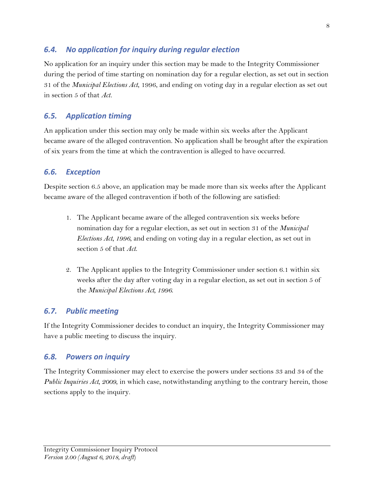#### <span id="page-11-0"></span>*6.4. No application for inquiry during regular election*

No application for an inquiry under this section may be made to the Integrity Commissioner during the period of time starting on nomination day for a regular election, as set out in section 31 of the *Municipal Elections Act*, 1996, and ending on voting day in a regular election as set out in section 5 of that *Act.*

#### <span id="page-11-1"></span>*6.5. Application timing*

An application under this section may only be made within six weeks after the Applicant became aware of the alleged contravention. No application shall be brought after the expiration of six years from the time at which the contravention is alleged to have occurred.

#### <span id="page-11-2"></span>*6.6. Exception*

Despite section 6.5 above, an application may be made more than six weeks after the Applicant became aware of the alleged contravention if both of the following are satisfied:

- 1. The Applicant became aware of the alleged contravention six weeks before nomination day for a regular election, as set out in section 31 of the *Municipal Elections Act, 1996*, and ending on voting day in a regular election, as set out in section 5 of that *Act*.
- 2. The Applicant applies to the Integrity Commissioner under section 6.1 within six weeks after the day after voting day in a regular election, as set out in section 5 of the *Municipal Elections Act, 1996*.

#### <span id="page-11-3"></span>*6.7. Public meeting*

If the Integrity Commissioner decides to conduct an inquiry, the Integrity Commissioner may have a public meeting to discuss the inquiry.

#### <span id="page-11-4"></span>*6.8. Powers on inquiry*

The Integrity Commissioner may elect to exercise the powers under sections 33 and 34 of the *Public Inquiries Act, 2009*, in which case, notwithstanding anything to the contrary herein, those sections apply to the inquiry.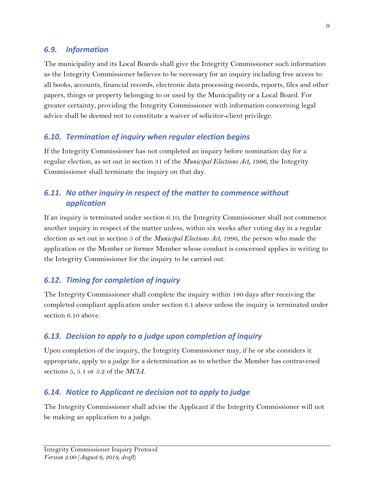#### <span id="page-12-0"></span>*6.9. Information*

The municipality and its Local Boards shall give the Integrity Commissioner such information as the Integrity Commissioner believes to be necessary for an inquiry including free access to all books, accounts, financial records, electronic data processing records, reports, files and other papers, things or property belonging to or used by the Municipality or a Local Board. For greater certainty, providing the Integrity Commissioner with information concerning legal advice shall be deemed not to constitute a waiver of solicitor-client privilege.

### <span id="page-12-1"></span>*6.10. Termination of inquiry when regular election begins*

If the Integrity Commissioner has not completed an inquiry before nomination day for a regular election, as set out in section 31 of the *Municipal Elections Act, 1996*, the Integrity Commissioner shall terminate the inquiry on that day.

### <span id="page-12-2"></span>*6.11. No other inquiry in respect of the matter to commence without application*

If an inquiry is terminated under section 6.10, the Integrity Commissioner shall not commence another inquiry in respect of the matter unless, within six weeks after voting day in a regular election as set out in section 5 of the *Municipal Elections Act*, 1996, the person who made the application or the Member or former Member whose conduct is concerned applies in writing to the Integrity Commissioner for the inquiry to be carried out.

#### <span id="page-12-3"></span>*6.12. Timing for completion of inquiry*

The Integrity Commissioner shall complete the inquiry within 180 days after receiving the completed compliant application under section 6.1 above unless the inquiry is terminated under section 6.10 above.

#### <span id="page-12-4"></span>*6.13. Decision to apply to a judge upon completion of inquiry*

Upon completion of the inquiry, the Integrity Commissioner may, if he or she considers it appropriate, apply to a judge for a determination as to whether the Member has contravened sections 5, 5.1 or 5.2 of the *MCIA*.

#### <span id="page-12-5"></span>*6.14. Notice to Applicant re decision not to apply to judge*

The Integrity Commissioner shall advise the Applicant if the Integrity Commissioner will not be making an application to a judge.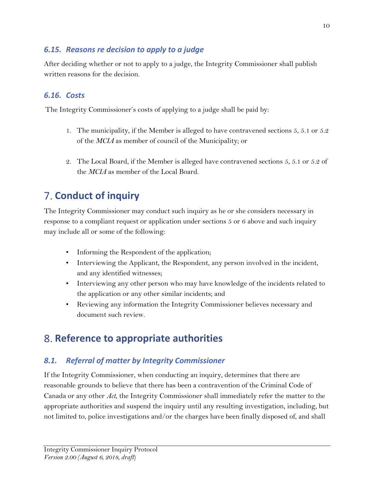### <span id="page-13-0"></span>*6.15. Reasons re decision to apply to a judge*

After deciding whether or not to apply to a judge, the Integrity Commissioner shall publish written reasons for the decision.

### <span id="page-13-1"></span>*6.16. Costs*

The Integrity Commissioner's costs of applying to a judge shall be paid by:

- 1. The municipality, if the Member is alleged to have contravened sections 5, 5.1 or 5.2 of the *MCIA* as member of council of the Municipality; or
- 2. The Local Board, if the Member is alleged have contravened sections 5, 5.1 or 5.2 of the *MCIA* as member of the Local Board.

## <span id="page-13-2"></span>**Conduct of inquiry**

The Integrity Commissioner may conduct such inquiry as he or she considers necessary in response to a compliant request or application under sections 5 or 6 above and such inquiry may include all or some of the following:

- Informing the Respondent of the application;
- Interviewing the Applicant, the Respondent, any person involved in the incident, and any identified witnesses;
- Interviewing any other person who may have knowledge of the incidents related to the application or any other similar incidents; and
- Reviewing any information the Integrity Commissioner believes necessary and document such review.

## <span id="page-13-3"></span>**Reference to appropriate authorities**

### <span id="page-13-4"></span>*8.1. Referral of matter by Integrity Commissioner*

If the Integrity Commissioner, when conducting an inquiry, determines that there are reasonable grounds to believe that there has been a contravention of the Criminal Code of Canada or any other *Act*, the Integrity Commissioner shall immediately refer the matter to the appropriate authorities and suspend the inquiry until any resulting investigation, including, but not limited to, police investigations and/or the charges have been finally disposed of, and shall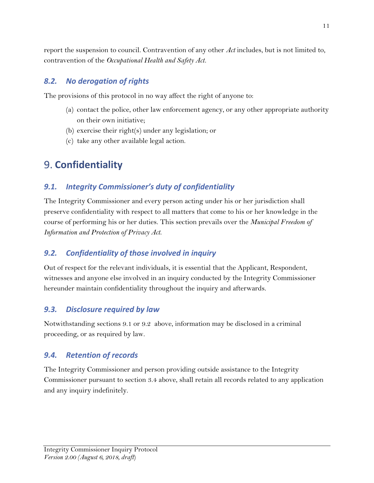report the suspension to council. Contravention of any other *Act* includes, but is not limited to, contravention of the *Occupational Health and Safety Act.* 

#### <span id="page-14-0"></span>*8.2. No derogation of rights*

The provisions of this protocol in no way affect the right of anyone to:

- (a) contact the police, other law enforcement agency, or any other appropriate authority on their own initiative;
- (b) exercise their right(s) under any legislation; or
- (c) take any other available legal action.

## <span id="page-14-1"></span>**Confidentiality**

### <span id="page-14-2"></span>*9.1. Integrity Commissioner's duty of confidentiality*

The Integrity Commissioner and every person acting under his or her jurisdiction shall preserve confidentiality with respect to all matters that come to his or her knowledge in the course of performing his or her duties. This section prevails over the *Municipal Freedom of Information and Protection of Privacy Act*.

#### <span id="page-14-3"></span>*9.2. Confidentiality of those involved in inquiry*

Out of respect for the relevant individuals, it is essential that the Applicant, Respondent, witnesses and anyone else involved in an inquiry conducted by the Integrity Commissioner hereunder maintain confidentiality throughout the inquiry and afterwards.

#### <span id="page-14-4"></span>*9.3. Disclosure required by law*

Notwithstanding sections 9.1 or 9.2 above, information may be disclosed in a criminal proceeding, or as required by law.

#### <span id="page-14-5"></span>*9.4. Retention of records*

The Integrity Commissioner and person providing outside assistance to the Integrity Commissioner pursuant to section 3.4 above, shall retain all records related to any application and any inquiry indefinitely.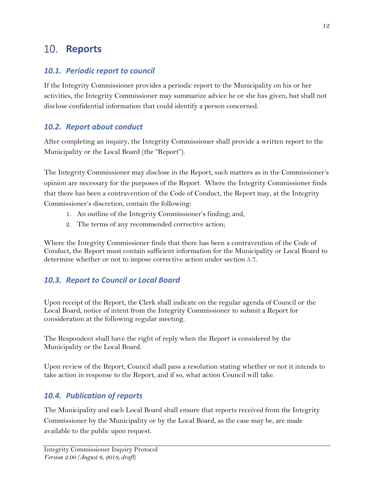### <span id="page-15-0"></span>10. Reports

### <span id="page-15-1"></span>*10.1. Periodic report to council*

If the Integrity Commissioner provides a periodic report to the Municipality on his or her activities, the Integrity Commissioner may summarize advice he or she has given, but shall not disclose confidential information that could identify a person concerned.

### <span id="page-15-2"></span>*10.2. Report about conduct*

After completing an inquiry, the Integrity Commissioner shall provide a written report to the Municipality or the Local Board (the "Report").

The Integrity Commissioner may disclose in the Report, such matters as in the Commissioner's opinion are necessary for the purposes of the Report. Where the Integrity Commissioner finds that there has been a contravention of the Code of Conduct, the Report may, at the Integrity Commissioner's discretion, contain the following:

- 1. An outline of the Integrity Commissioner's finding; and,
- 2. The terms of any recommended corrective action;

Where the Integrity Commissioner finds that there has been a contravention of the Code of Conduct, the Report must contain sufficient information for the Municipality or Local Board to determine whether or not to impose corrective action under section 5.7.

### <span id="page-15-3"></span>*10.3. Report to Council or Local Board*

Upon receipt of the Report, the Clerk shall indicate on the regular agenda of Council or the Local Board, notice of intent from the Integrity Commissioner to submit a Report for consideration at the following regular meeting.

The Respondent shall have the right of reply when the Report is considered by the Municipality or the Local Board.

Upon review of the Report, Council shall pass a resolution stating whether or not it intends to take action in response to the Report, and if so, what action Council will take.

### <span id="page-15-4"></span>*10.4. Publication of reports*

The Municipality and each Local Board shall ensure that reports received from the Integrity Commissioner by the Municipality or by the Local Board, as the case may be, are made available to the public upon request.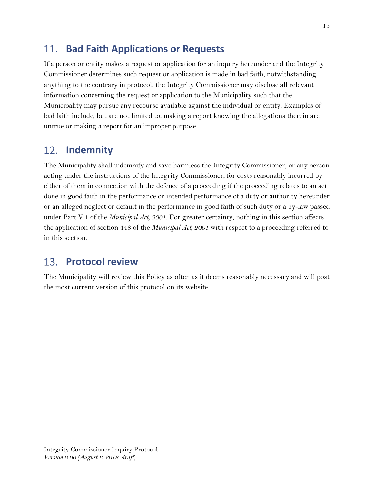#### <span id="page-16-0"></span>**Bad Faith Applications or Requests** 11.

If a person or entity makes a request or application for an inquiry hereunder and the Integrity Commissioner determines such request or application is made in bad faith, notwithstanding anything to the contrary in protocol, the Integrity Commissioner may disclose all relevant information concerning the request or application to the Municipality such that the Municipality may pursue any recourse available against the individual or entity. Examples of bad faith include, but are not limited to, making a report knowing the allegations therein are untrue or making a report for an improper purpose.

#### <span id="page-16-1"></span>12. **Indemnity**

The Municipality shall indemnify and save harmless the Integrity Commissioner, or any person acting under the instructions of the Integrity Commissioner, for costs reasonably incurred by either of them in connection with the defence of a proceeding if the proceeding relates to an act done in good faith in the performance or intended performance of a duty or authority hereunder or an alleged neglect or default in the performance in good faith of such duty or a by-law passed under Part V.1 of the *Municipal Act, 2001*. For greater certainty, nothing in this section affects the application of section 448 of the *Municipal Act, 2001* with respect to a proceeding referred to in this section.

#### <span id="page-16-2"></span>13. **Protocol review**

The Municipality will review this Policy as often as it deems reasonably necessary and will post the most current version of this protocol on its website.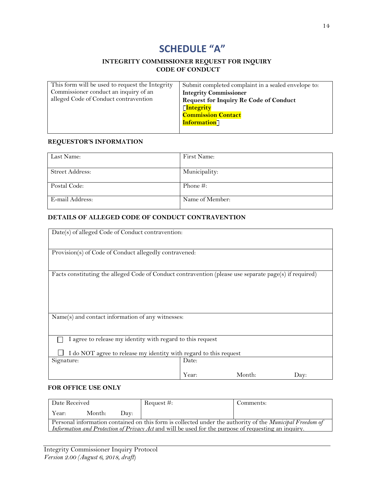### **SCHEDULE "A"**

#### **INTEGRITY COMMISSIONER REQUEST FOR INQUIRY CODE OF CONDUCT**

<span id="page-17-0"></span>

| This form will be used to request the Integrity | Submit completed complaint in a sealed envelope to: |
|-------------------------------------------------|-----------------------------------------------------|
| Commissioner conduct an inquiry of an           | <b>Integrity Commissioner</b>                       |
| alleged Code of Conduct contravention           | <b>Request for Inquiry Re Code of Conduct</b>       |
|                                                 | [Integrity                                          |
|                                                 | <b>Commission Contact</b>                           |
|                                                 | <b>Information</b>                                  |
|                                                 |                                                     |

#### **REQUESTOR'S INFORMATION**

| Last Name:      | First Name:     |
|-----------------|-----------------|
|                 |                 |
| Street Address: | Municipality:   |
|                 |                 |
| Postal Code:    | Phone $\#$ :    |
|                 |                 |
| E-mail Address: | Name of Member: |
|                 |                 |

#### **DETAILS OF ALLEGED CODE OF CONDUCT CONTRAVENTION**

| Date(s) of alleged Code of Conduct contravention:                                                      |       |        |      |
|--------------------------------------------------------------------------------------------------------|-------|--------|------|
|                                                                                                        |       |        |      |
| Provision(s) of Code of Conduct allegedly contravened:                                                 |       |        |      |
|                                                                                                        |       |        |      |
| Facts constituting the alleged Code of Conduct contravention (please use separate page(s) if required) |       |        |      |
|                                                                                                        |       |        |      |
|                                                                                                        |       |        |      |
|                                                                                                        |       |        |      |
| Name(s) and contact information of any witnesses:                                                      |       |        |      |
|                                                                                                        |       |        |      |
| I agree to release my identity with regard to this request                                             |       |        |      |
| I do NOT agree to release my identity with regard to this request                                      |       |        |      |
| Signature:                                                                                             | Date: |        |      |
|                                                                                                        | Year: | Month: |      |
|                                                                                                        |       |        | Day: |

#### **FOR OFFICE USE ONLY**

| Date Received                                                                                                                                                                                                                  |        |             | Request $#$ : | Comments: |
|--------------------------------------------------------------------------------------------------------------------------------------------------------------------------------------------------------------------------------|--------|-------------|---------------|-----------|
| Year:                                                                                                                                                                                                                          | Month: | $1$ ) $av:$ |               |           |
| Personal information contained on this form is collected under the authority of the <i>Municipal Freedom of</i><br><i>Information and Protection of Privacy Act</i> and will be used for the purpose of requesting an inquiry. |        |             |               |           |